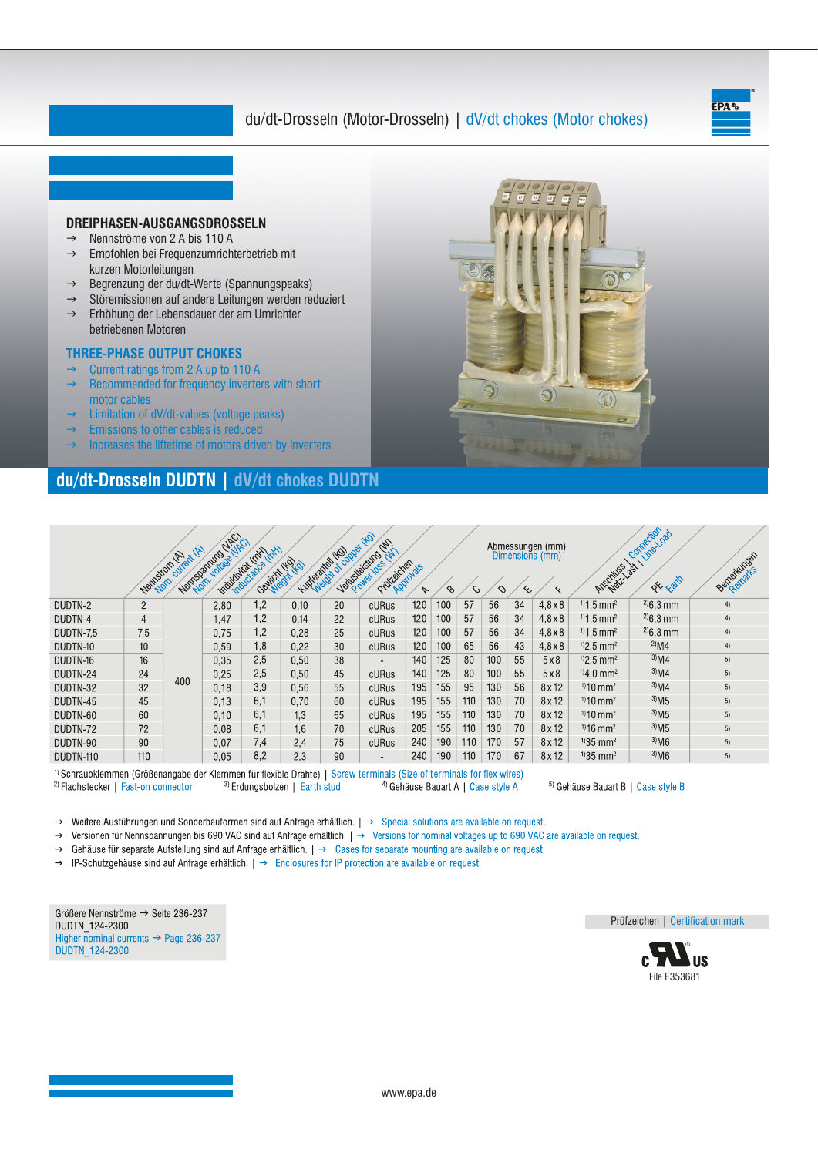# du/dt-Drosseln (Motor-Drosseln) | dV/dt chokes (Motor chokes)





## **du/dt-Drosseln DUDTN | dV/dt chokes DUDTN**

|           |                | $\mathscr{C}$<br>Nemston of Mart | <b>NACI</b><br>Nenformulation of | Individual disclose | Gewickt HOLD | Kupakatat dr object | HO<br>Verbedietung (W)<br>Prüfleichen | Approvals<br>$\triangledown$ | $\infty$ | C.  | ◇   | $\infty$ | Abmessungen (mm)<br>Dimensions (mm) | Anschluss 2st               | Comedian<br>Line-Load<br>ok carth | Benefitation |
|-----------|----------------|----------------------------------|----------------------------------|---------------------|--------------|---------------------|---------------------------------------|------------------------------|----------|-----|-----|----------|-------------------------------------|-----------------------------|-----------------------------------|--------------|
| DUDTN-2   | $\overline{2}$ | 400                              | 2.80                             | $\cdot$ .2          | 0,10         | 20                  | cURus                                 | 120                          | 100      | 57  | 56  | 34       | $4,8\times8$                        | $11.5 \text{ mm}^2$         | $^{2}$ )6.3 mm                    | 4)           |
| DUDTN-4   | 4              |                                  | 1,47                             | $\cdot$ .2          | 0,14         | 22                  | cURus                                 | 120                          | 100      | 57  | 56  | 34       | $4.8 \times 8$                      | $11.5 \text{ mm}^2$         | $^{2}$ )6,3 mm                    | 4)           |
| DUDTN-7.5 | 7,5            |                                  | 0,75                             | 1,2                 | 0.28         | 25                  | cURus                                 | 120                          | 100      | 57  | 56  | 34       | $4,8\times8$                        | $11.5 \text{ mm}^2$         | $^{2}$ )6,3 mm                    | 4)           |
| DUDTN-10  | 10             |                                  | 0.59                             | .8                  | 0,22         | 30                  | cURus                                 | 120                          | 100      | 65  | 56  | 43       | $4.8\times8$                        | $^{1/2}$ ,5 mm <sup>2</sup> | $^{2}$ M4                         | 4)           |
| DUDTN-16  | 16             |                                  | 0,35                             | 2,5                 | 0,50         | 38                  | $\sim$                                | 140                          | 125      | 80  | 100 | 55       | 5x8                                 | $1/2.5$ mm <sup>2</sup>     | $^{3}$ M4                         | 5)           |
| DUDTN-24  | 24             |                                  | 0,25                             | 2,5                 | 0,50         | 45                  | cURus                                 | 140                          | 125      | 80  | 100 | 55       | 5x8                                 | $1/4.0$ mm <sup>2</sup>     | $^{3}$ M4                         | 5)           |
| DUDTN-32  | 32             |                                  | 0,18                             | 3,9                 | 0,56         | 55                  | cURus                                 | 195                          | 155      | 95  | 130 | 56       | 8x12                                | $110 \text{ mm}^2$          | $^{3}$ M4                         | 5)           |
| DUDTN-45  | 45             |                                  | 0.13                             | 6,1                 | 0,70         | 60                  | cURus                                 | 195                          | 155      | 110 | 130 | 70       | 8x12                                | $110$ mm <sup>2</sup>       | $^{3}$ M <sub>5</sub>             | 5)           |
| DUDTN-60  | 60             |                                  | 0,10                             | 6,1                 | 1,3          | 65                  | cURus                                 | 195                          | 155      | 110 | 130 | 70       | 8x12                                | $110$ mm <sup>2</sup>       | $^{3}$ M <sub>5</sub>             | 5)           |
| DUDTN-72  | 72             |                                  | 0.08                             | 6,1                 | 1,6          | 70                  | cURus                                 | 205                          | 155      | 110 | 130 | 70       | 8x12                                | $1)16$ mm <sup>2</sup>      | $3)$ M <sub>5</sub>               | 5)           |
| DUDTN-90  | 90             |                                  | 0.07                             | 7,4                 | 2,4          | 75                  | cURus                                 | 240                          | 190      | 110 | 170 | 57       | 8x12                                | $1/35$ mm <sup>2</sup>      | $^{3}$ M6                         | 5)           |
| DUDTN-110 | 110            |                                  | 0.05                             | 8,2                 | 2.3          | 90                  | $\blacksquare$                        | 240                          | 190      | 110 | 170 | 67       | 8x12                                | $1/35$ mm <sup>2</sup>      | $^{3}$ M6                         | 5)           |

<sup>1)</sup> Schraubklemmen (Größenangabe der Klemmen für flexible Drähte) | Screw terminals (Size of terminals for flex wires) <sup>2)</sup> Flachstecker | Fast-on connector <sup>3)</sup> Erdungsbolzen | Earth stud <sup>4)</sup> Gehäuse Bauart A | Case style A

<sup>5)</sup> Gehäuse Bauart B | Case style B

→ Weitere Ausführungen und Sonderbauformen sind auf Anfrage erhältlich. | → Special solutions are available on request.

→ Versionen für Nennspannungen bis 690 VAC sind auf Anfrage erhältlich. | → Versions for nominal voltages up to 690 VAC are available on request.

→ Gehäuse für separate Aufstellung sind auf Anfrage erhältlich. | → Cases for separate mounting are available on request.

 $\rightarrow$  IP-Schutzgehäuse sind auf Anfrage erhältlich.  $\rightarrow$  Enclosures for IP protection are available on request.

Größere Nennströme → Seite 236-237 DUDTN\_124-2300 Higher nominal currents  $\rightarrow$  Page 236-237 **DUDTN 124-2300** 

Prüfzeichen | Certification mark